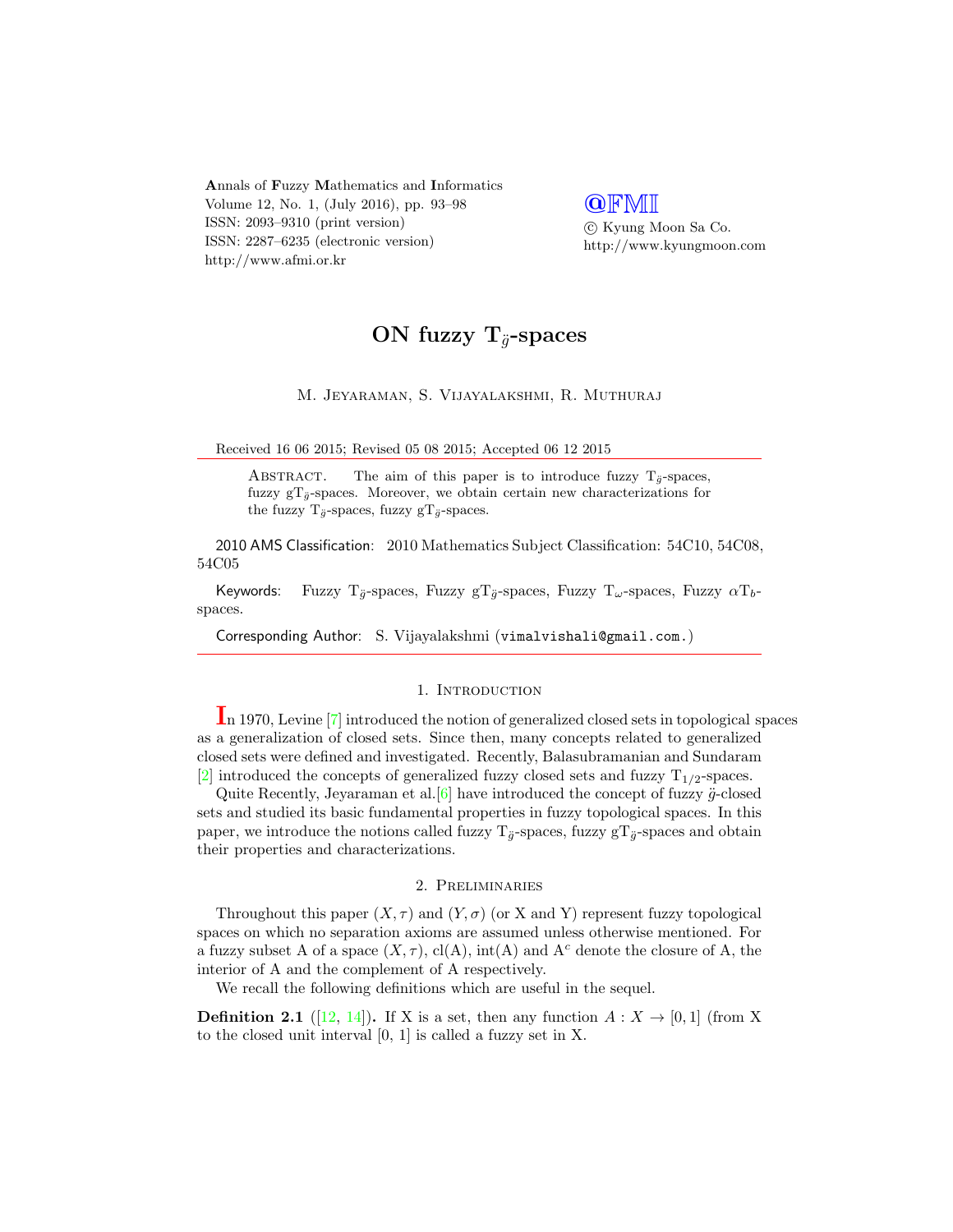Annals of Fuzzy Mathematics and Informatics Volume 12, No. 1, (July 2016), pp. 93–98 ISSN: 2093–9310 (print version) ISSN: 2287–6235 (electronic version) http://www.afmi.or.kr

**QFMI** 

 c Kyung Moon Sa Co. http://www.kyungmoon.com

# ON fuzzy  $T_{\ddot{q}}$ -spaces

M. Jeyaraman, S. Vijayalakshmi, R. Muthuraj

Received 16 06 2015; Revised 05 08 2015; Accepted 06 12 2015

ABSTRACT. The aim of this paper is to introduce fuzzy  $T_{\ddot{\sigma}}$ -spaces, fuzzy  $gT_{\ddot{g}}$ -spaces. Moreover, we obtain certain new characterizations for the fuzzy  $\mathrm{T}_{\ddot{g}}\text{-spaces, fuzzy gT}_{\ddot{g}}\text{-spaces.}$ 

2010 AMS Classification: 2010 Mathematics Subject Classification: 54C10, 54C08, 54C05

Keywords: Fuzzy T<sub>a</sub>-spaces, Fuzzy gT<sub>a</sub>-spaces, Fuzzy T<sub>ω</sub>-spaces, Fuzzy  $\alpha T_b$ spaces.

Corresponding Author: S. Vijayalakshmi (vimalvishali@gmail.com.)

#### 1. INTRODUCTION

In 1970, Levine [\[7\]](#page-4-0) introduced the notion of generalized closed sets in topological spaces as a generalization of closed sets. Since then, many concepts related to generalized closed sets were defined and investigated. Recently, Balasubramanian and Sundaram [\[2\]](#page-4-1) introduced the concepts of generalized fuzzy closed sets and fuzzy  $T_{1/2}$ -spaces.

Quite Recently, Jeyaraman et al.  $[6]$  have introduced the concept of fuzzy  $\ddot{g}$ -closed sets and studied its basic fundamental properties in fuzzy topological spaces. In this paper, we introduce the notions called fuzzy  $T_{\ddot{\theta}}$ -spaces, fuzzy  $T_{\ddot{\theta}}$ -spaces and obtain their properties and characterizations.

#### 2. Preliminaries

Throughout this paper  $(X, \tau)$  and  $(Y, \sigma)$  (or X and Y) represent fuzzy topological spaces on which no separation axioms are assumed unless otherwise mentioned. For a fuzzy subset A of a space  $(X, \tau)$ , cl(A), int(A) and A<sup>c</sup> denote the closure of A, the interior of A and the complement of A respectively.

We recall the following definitions which are useful in the sequel.

**Definition 2.1** ([\[12,](#page-4-3) [14\]](#page-4-4)). If X is a set, then any function  $A: X \to [0,1]$  (from X to the closed unit interval [0, 1] is called a fuzzy set in X.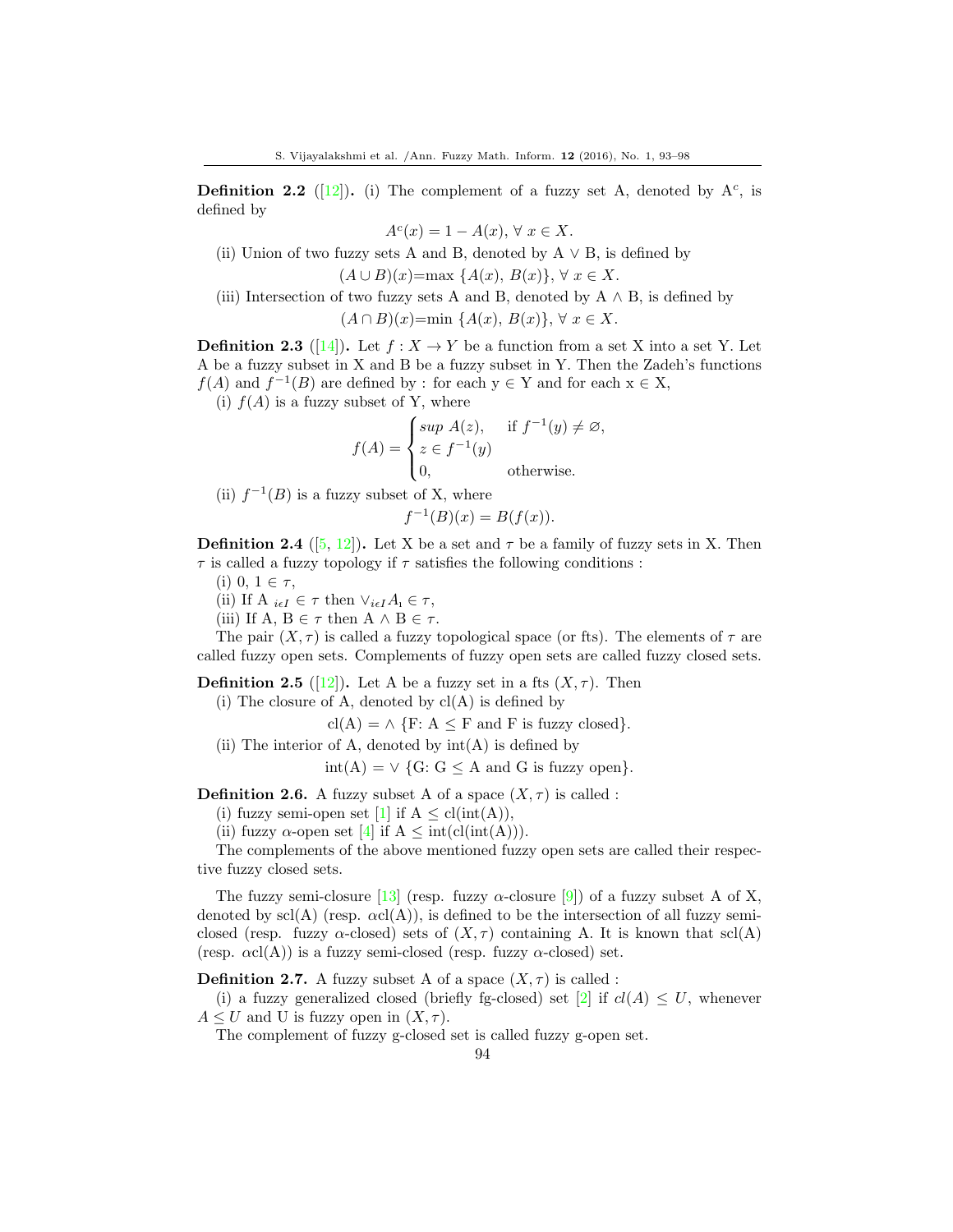**Definition 2.2** ([\[12\]](#page-4-3)). (i) The complement of a fuzzy set A, denoted by  $A<sup>c</sup>$ , is defined by

 $A<sup>c</sup>(x) = 1 - A(x), \forall x \in X.$ 

(ii) Union of two fuzzy sets A and B, denoted by  $A \vee B$ , is defined by

$$
(A \cup B)(x) = \max \{A(x), B(x)\}, \forall x \in X.
$$

(iii) Intersection of two fuzzy sets A and B, denoted by  $A \wedge B$ , is defined by

 $(A \cap B)(x) = min \{A(x), B(x)\}, \forall x \in X.$ 

**Definition 2.3** ([\[14\]](#page-4-4)). Let  $f : X \to Y$  be a function from a set X into a set Y. Let A be a fuzzy subset in X and B be a fuzzy subset in Y. Then the Zadeh's functions  $f(A)$  and  $f^{-1}(B)$  are defined by : for each  $y \in Y$  and for each  $x \in X$ ,

(i)  $f(A)$  is a fuzzy subset of Y, where

$$
f(A) = \begin{cases} \sup A(z), & \text{if } f^{-1}(y) \neq \varnothing, \\ z \in f^{-1}(y) \\ 0, & \text{otherwise.} \end{cases}
$$

(ii)  $f^{-1}(B)$  is a fuzzy subset of X, where

 $f^{-1}(B)(x) = B(f(x)).$ 

**Definition 2.4** ([\[5,](#page-4-5) [12\]](#page-4-3)). Let X be a set and  $\tau$  be a family of fuzzy sets in X. Then  $\tau$  is called a fuzzy topology if  $\tau$  satisfies the following conditions :

(i) 0,  $1 \in \tau$ ,

(ii) If  $A_{i\in I} \in \tau$  then  $\vee_{i\in I} A_i \in \tau$ ,

(iii) If A,  $B \in \tau$  then  $A \wedge B \in \tau$ .

The pair  $(X, \tau)$  is called a fuzzy topological space (or fts). The elements of  $\tau$  are called fuzzy open sets. Complements of fuzzy open sets are called fuzzy closed sets.

**Definition 2.5** ([\[12\]](#page-4-3)). Let A be a fuzzy set in a fts  $(X, \tau)$ . Then

 $(i)$  The closure of A, denoted by  $cl(A)$  is defined by

 $\text{cl}(A) = \wedge \{F: A \leq F \text{ and } F \text{ is fuzzy closed}\}.$ 

(ii) The interior of A, denoted by  $int(A)$  is defined by

 $\text{int}(A) = \vee \{G: G \leq A \text{ and } G \text{ is fuzzy open}\}.$ 

**Definition 2.6.** A fuzzy subset A of a space  $(X, \tau)$  is called :

(i) fuzzy semi-open set [\[1\]](#page-4-6) if  $A \leq cl(int(A)),$ 

(ii) fuzzy  $\alpha$ -open set [\[4\]](#page-4-7) if  $A \leq int(cl(int(A))).$ 

The complements of the above mentioned fuzzy open sets are called their respective fuzzy closed sets.

The fuzzy semi-closure [\[13\]](#page-4-8) (resp. fuzzy  $\alpha$ -closure [\[9\]](#page-4-9)) of a fuzzy subset A of X, denoted by  $\text{scl}(A)$  (resp.  $\alpha \text{cl}(A)$ ), is defined to be the intersection of all fuzzy semiclosed (resp. fuzzy  $\alpha$ -closed) sets of  $(X, \tau)$  containing A. It is known that scl(A) (resp.  $\alpha$ cl(A)) is a fuzzy semi-closed (resp. fuzzy  $\alpha$ -closed) set.

**Definition 2.7.** A fuzzy subset A of a space  $(X, \tau)$  is called :

(i) a fuzzy generalized closed (briefly fg-closed) set [\[2\]](#page-4-1) if  $cl(A) \leq U$ , whenever  $A \leq U$  and U is fuzzy open in  $(X, \tau)$ .

The complement of fuzzy g-closed set is called fuzzy g-open set.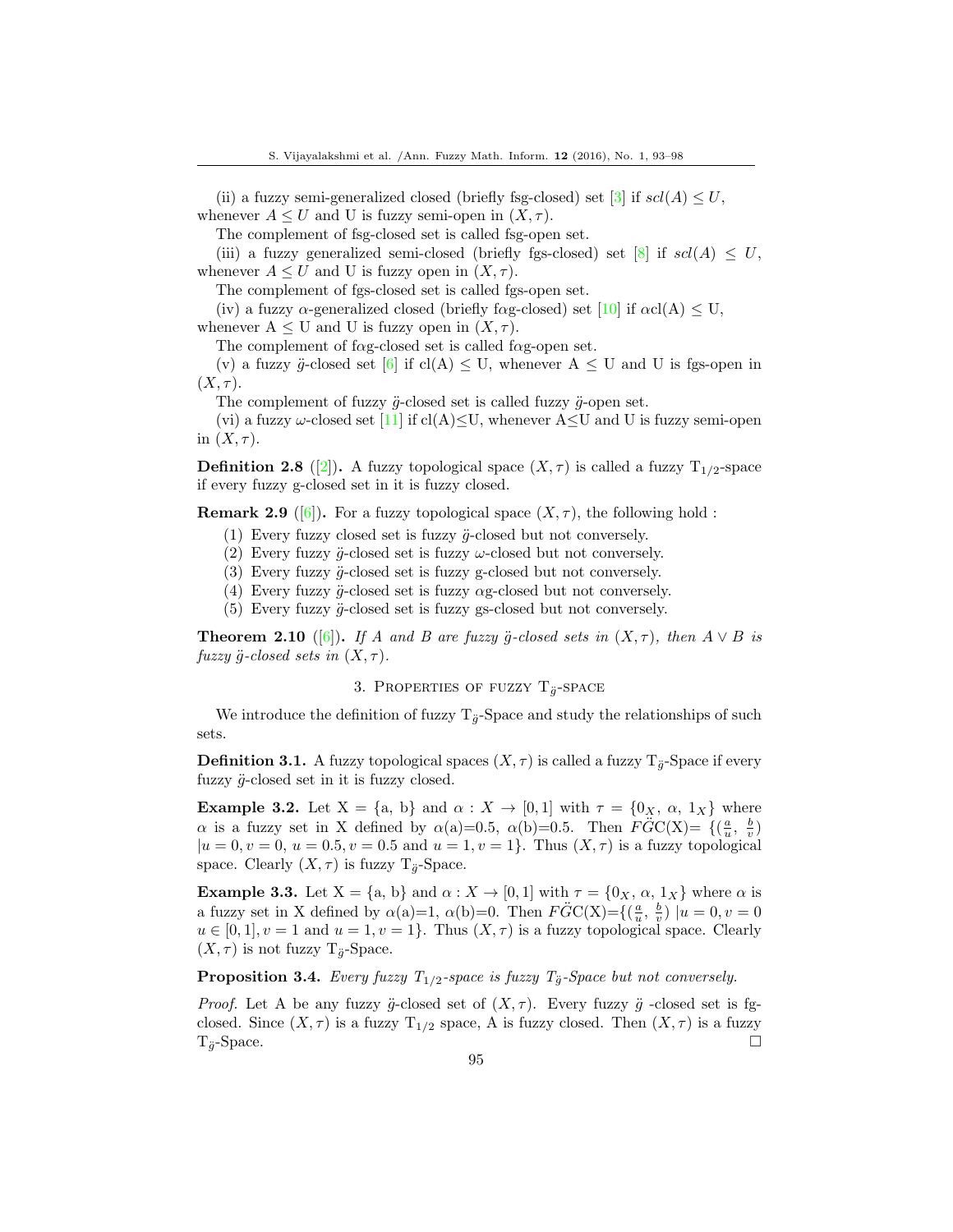(ii) a fuzzy semi-generalized closed (briefly fsg-closed) set [\[3\]](#page-4-10) if  $\mathfrak{sol}(A) \leq U$ , whenever  $A \leq U$  and U is fuzzy semi-open in  $(X, \tau)$ .

The complement of fsg-closed set is called fsg-open set.

(iii) a fuzzy generalized semi-closed (briefly fgs-closed) set [\[8\]](#page-4-11) if  $\mathfrak{sl}(A) \leq U$ , whenever  $A \leq U$  and U is fuzzy open in  $(X, \tau)$ .

The complement of fgs-closed set is called fgs-open set.

(iv) a fuzzy  $\alpha$ -generalized closed (briefly f $\alpha$ g-closed) set [\[10\]](#page-4-12) if  $\alpha$ cl(A)  $\leq U$ ,

whenever  $A \leq U$  and U is fuzzy open in  $(X, \tau)$ .

The complement of f $\alpha$ g-closed set is called f $\alpha$ g-open set.

(v) a fuzzy  $\ddot{g}$ -closed set [\[6\]](#page-4-2) if cl(A)  $\leq$  U, whenever A  $\leq$  U and U is fgs-open in  $(X, \tau)$ .

The complement of fuzzy  $\ddot{g}$ -closed set is called fuzzy  $\ddot{g}$ -open set.

(vi) a fuzzy  $\omega$ -closed set [\[11\]](#page-4-13) if cl(A) $\leq$ U, whenever A $\leq$ U and U is fuzzy semi-open in  $(X, \tau)$ .

**Definition 2.8** ([\[2\]](#page-4-1)). A fuzzy topological space  $(X, \tau)$  is called a fuzzy  $T_{1/2}$ -space if every fuzzy g-closed set in it is fuzzy closed.

**Remark 2.9** ([\[6\]](#page-4-2)). For a fuzzy topological space  $(X, \tau)$ , the following hold :

- (1) Every fuzzy closed set is fuzzy  $\ddot{g}$ -closed but not conversely.
- (2) Every fuzzy  $\ddot{g}$ -closed set is fuzzy  $\omega$ -closed but not conversely.
- (3) Every fuzzy  $\ddot{g}$ -closed set is fuzzy g-closed but not conversely.

(4) Every fuzzy  $\ddot{g}$ -closed set is fuzzy  $\alpha$ g-closed but not conversely.

(5) Every fuzzy  $\ddot{q}$ -closed set is fuzzy gs-closed but not conversely.

**Theorem 2.10** ([\[6\]](#page-4-2)). If A and B are fuzzy g-closed sets in  $(X, \tau)$ , then  $A \vee B$  is fuzzy  $\ddot{g}$ -closed sets in  $(X, \tau)$ .

### 3. PROPERTIES OF FUZZY  $T_{\ddot{g}}$ -SPACE

We introduce the definition of fuzzy  $T_{\ddot{g}}$ -Space and study the relationships of such sets.

**Definition 3.1.** A fuzzy topological spaces  $(X, \tau)$  is called a fuzzy  $T_{\tilde{g}}$ -Space if every fuzzy  $\ddot{g}$ -closed set in it is fuzzy closed.

**Example 3.2.** Let  $X = \{a, b\}$  and  $\alpha : X \to [0, 1]$  with  $\tau = \{0_X, \alpha, 1_X\}$  where  $\alpha$  is a fuzzy set in X defined by  $\alpha(a)=0.5$ ,  $\alpha(b)=0.5$ . Then  $FGC(X)=\{(\frac{a}{u}, \frac{b}{v})\}$  $|u = 0, v = 0, u = 0.5, v = 0.5$  and  $u = 1, v = 1$ . Thus  $(X, \tau)$  is a fuzzy topological space. Clearly  $(X, \tau)$  is fuzzy  $T_{\ddot{q}}$ -Space.

**Example 3.3.** Let  $X = \{a, b\}$  and  $\alpha : X \to [0, 1]$  with  $\tau = \{0_X, \alpha, 1_X\}$  where  $\alpha$  is a fuzzy set in X defined by  $\alpha(a)=1$ ,  $\alpha(b)=0$ . Then  $F\ddot{G}C(X)=\{(\frac{a}{u},\frac{b}{v}) | u=0, v=0\}$  $u \in [0,1], v = 1$  and  $u = 1, v = 1$ . Thus  $(X, \tau)$  is a fuzzy topological space. Clearly  $(X, \tau)$  is not fuzzy T<sub>g</sub>-Space.

<span id="page-2-0"></span>**Proposition 3.4.** Every fuzzy  $T_{1/2}$ -space is fuzzy  $T_{\ddot{q}}$ -Space but not conversely.

*Proof.* Let A be any fuzzy  $\ddot{g}$ -closed set of  $(X, \tau)$ . Every fuzzy  $\ddot{g}$ -closed set is fgclosed. Since  $(X, \tau)$  is a fuzzy  $T_{1/2}$  space, A is fuzzy closed. Then  $(X, \tau)$  is a fuzzy  $T_{\ddot{g}}$ -Space.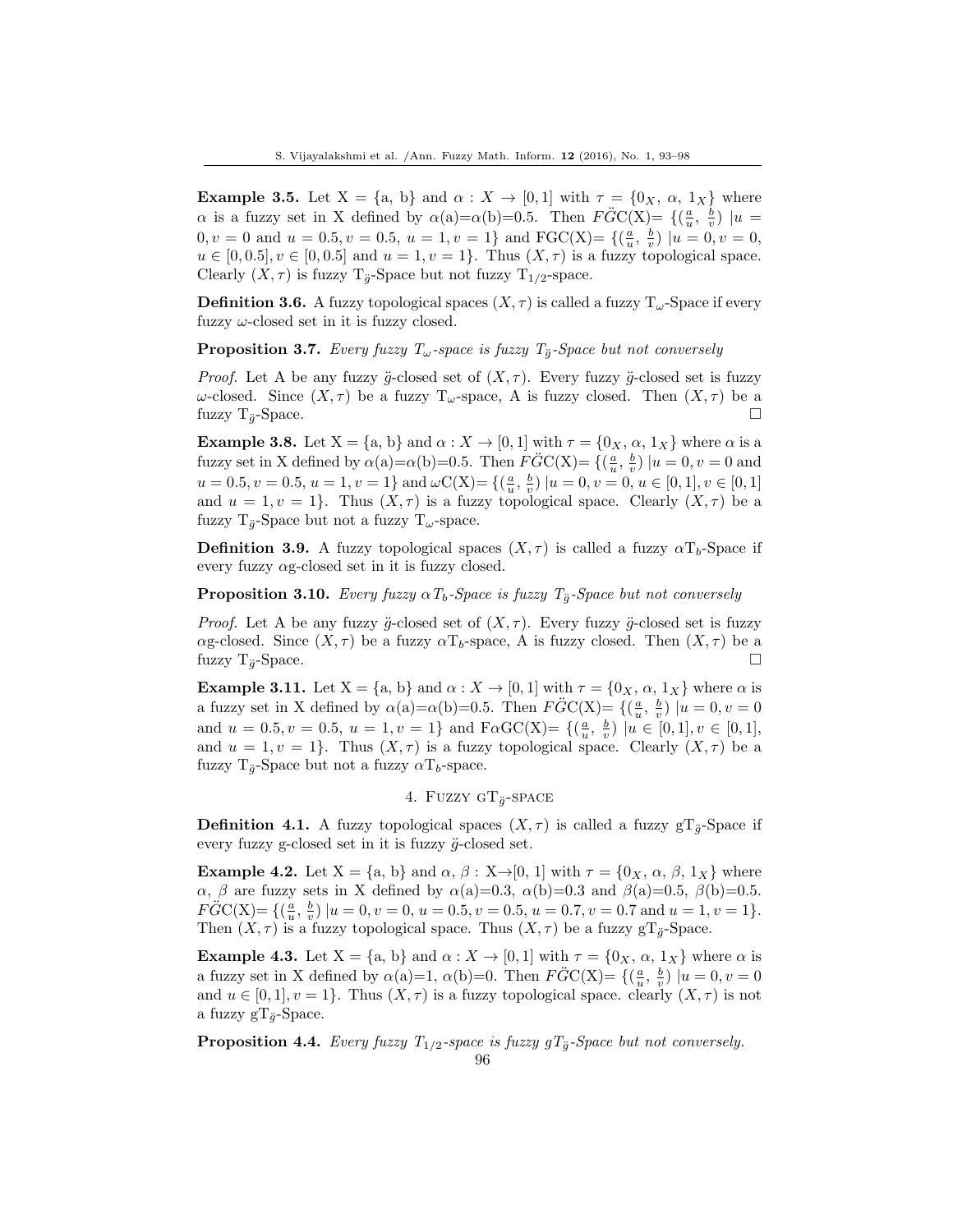**Example 3.5.** Let  $X = \{a, b\}$  and  $\alpha : X \to [0, 1]$  with  $\tau = \{0_X, \alpha, 1_X\}$  where  $\alpha$  is a fuzzy set in X defined by  $\alpha(a)=\alpha(b)=0.5$ . Then  $\angle FGC(X)=\{(\frac{a}{u},\frac{b}{v})|u=0.5\}$  $0, v = 0$  and  $u = 0.5, v = 0.5, u = 1, v = 1$  and  $\text{FGC}(X) = \{(\frac{a}{u}, \frac{b}{v}) | u = 0, v = 0, w = 0\}$  $u \in [0, 0.5], v \in [0, 0.5]$  and  $u = 1, v = 1$ . Thus  $(X, \tau)$  is a fuzzy topological space. Clearly  $(X, \tau)$  is fuzzy T<sub> $\ddot{q}$ </sub>-Space but not fuzzy T<sub>1/2</sub>-space.

**Definition 3.6.** A fuzzy topological spaces  $(X, \tau)$  is called a fuzzy  $T_{\omega}$ -Space if every fuzzy  $\omega$ -closed set in it is fuzzy closed.

**Proposition 3.7.** Every fuzzy  $T_{\omega}$ -space is fuzzy  $T_{\ddot{g}}$ -Space but not conversely

*Proof.* Let A be any fuzzy  $\ddot{g}$ -closed set of  $(X, \tau)$ . Every fuzzy  $\ddot{g}$ -closed set is fuzzy ω-closed. Since  $(X, \tau)$  be a fuzzy T<sub>ω</sub>-space, A is fuzzy closed. Then  $(X, \tau)$  be a fuzzy  $T_{\ddot{q}}$ -Space.

**Example 3.8.** Let  $X = \{a, b\}$  and  $\alpha : X \to [0, 1]$  with  $\tau = \{0_X, \alpha, 1_X\}$  where  $\alpha$  is a fuzzy set in X defined by  $\alpha(a)=\alpha(b)=0.5$ . Then  $\angle FGC(X)=\{(\frac{a}{u},\frac{b}{v}) | u=0, v=0 \text{ and }$  $u = 0.5, v = 0.5, u = 1, v = 1$ } and  $\omega C(X) = \{(\frac{a}{u}, \frac{b}{v}) | u = 0, v = 0, u \in [0, 1], v \in [0, 1]$ and  $u = 1, v = 1$ . Thus  $(X, \tau)$  is a fuzzy topological space. Clearly  $(X, \tau)$  be a fuzzy  $T_{\ddot{q}}$ -Space but not a fuzzy  $T_{\omega}$ -space.

**Definition 3.9.** A fuzzy topological spaces  $(X, \tau)$  is called a fuzzy  $\alpha T_b$ -Space if every fuzzy  $\alpha$ g-closed set in it is fuzzy closed.

**Proposition 3.10.** Every fuzzy  $\alpha T_b$ -Space is fuzzy  $T_{\ddot{q}}$ -Space but not conversely

*Proof.* Let A be any fuzzy  $\ddot{g}$ -closed set of  $(X, \tau)$ . Every fuzzy  $\ddot{g}$ -closed set is fuzzy αg-closed. Since  $(X, τ)$  be a fuzzy αT<sub>b</sub>-space, A is fuzzy closed. Then  $(X, τ)$  be a fuzzy  $T_{\ddot{g}}$ -Space.

**Example 3.11.** Let  $X = \{a, b\}$  and  $\alpha : X \to [0, 1]$  with  $\tau = \{0_X, \alpha, 1_X\}$  where  $\alpha$  is a fuzzy set in X defined by  $\alpha(\mathbf{a}) = \alpha(\mathbf{b}) = 0.5$ . Then  $F\ddot{G}C(X) = \{(\frac{a}{u}, \frac{b}{v}) | u = 0, v = 0\}$ and  $u = 0.5, v = 0.5, u = 1, v = 1$  and  $F\alpha GC(X) = \{(\frac{a}{u}, \frac{b}{v}) | u \in [0, 1], v \in [0, 1],$ and  $u = 1, v = 1$ . Thus  $(X, \tau)$  is a fuzzy topological space. Clearly  $(X, \tau)$  be a fuzzy  $T_{\ddot{q}}$ -Space but not a fuzzy  $\alpha T_b$ -space.

## 4. FUZZY GT $_{\ddot{q}}$ -SPACE

**Definition 4.1.** A fuzzy topological spaces  $(X, \tau)$  is called a fuzzy  $gT_{\ddot{g}}$ -Space if every fuzzy g-closed set in it is fuzzy  $\ddot{g}$ -closed set.

**Example 4.2.** Let  $X = \{a, b\}$  and  $\alpha, \beta : X \rightarrow [0, 1]$  with  $\tau = \{0_X, \alpha, \beta, 1_X\}$  where  $\alpha$ ,  $\beta$  are fuzzy sets in X defined by  $\alpha$ (a)=0.3,  $\alpha$ (b)=0.3 and  $\beta$ (a)=0.5,  $\beta$ (b)=0.5.  $F\ddot{G}C(X) = \{(\frac{a}{u}, \frac{b}{v}) | u = 0, v = 0, u = 0.5, v = 0.5, u = 0.7, v = 0.7 \text{ and } u = 1, v = 1\}.$ Then  $(X, \tau)$  is a fuzzy topological space. Thus  $(X, \tau)$  be a fuzzy gT<sub> $\ddot{q}$ </sub>-Space.

**Example 4.3.** Let  $X = \{a, b\}$  and  $\alpha : X \to [0, 1]$  with  $\tau = \{0_X, \alpha, 1_X\}$  where  $\alpha$  is a fuzzy set in X defined by  $\alpha(a)=1$ ,  $\alpha(b)=0$ . Then  $\angle FGC(X) = \{(\frac{a}{u}, \frac{b}{v}) | u = 0, v = 0\}$ and  $u \in [0,1], v = 1$ . Thus  $(X, \tau)$  is a fuzzy topological space. clearly  $(X, \tau)$  is not a fuzzy  $gT_{\ddot{g}}$ -Space.

<span id="page-3-0"></span>**Proposition 4.4.** Every fuzzy  $T_{1/2}$ -space is fuzzy  $gT_{\ddot{g}}$ -Space but not conversely.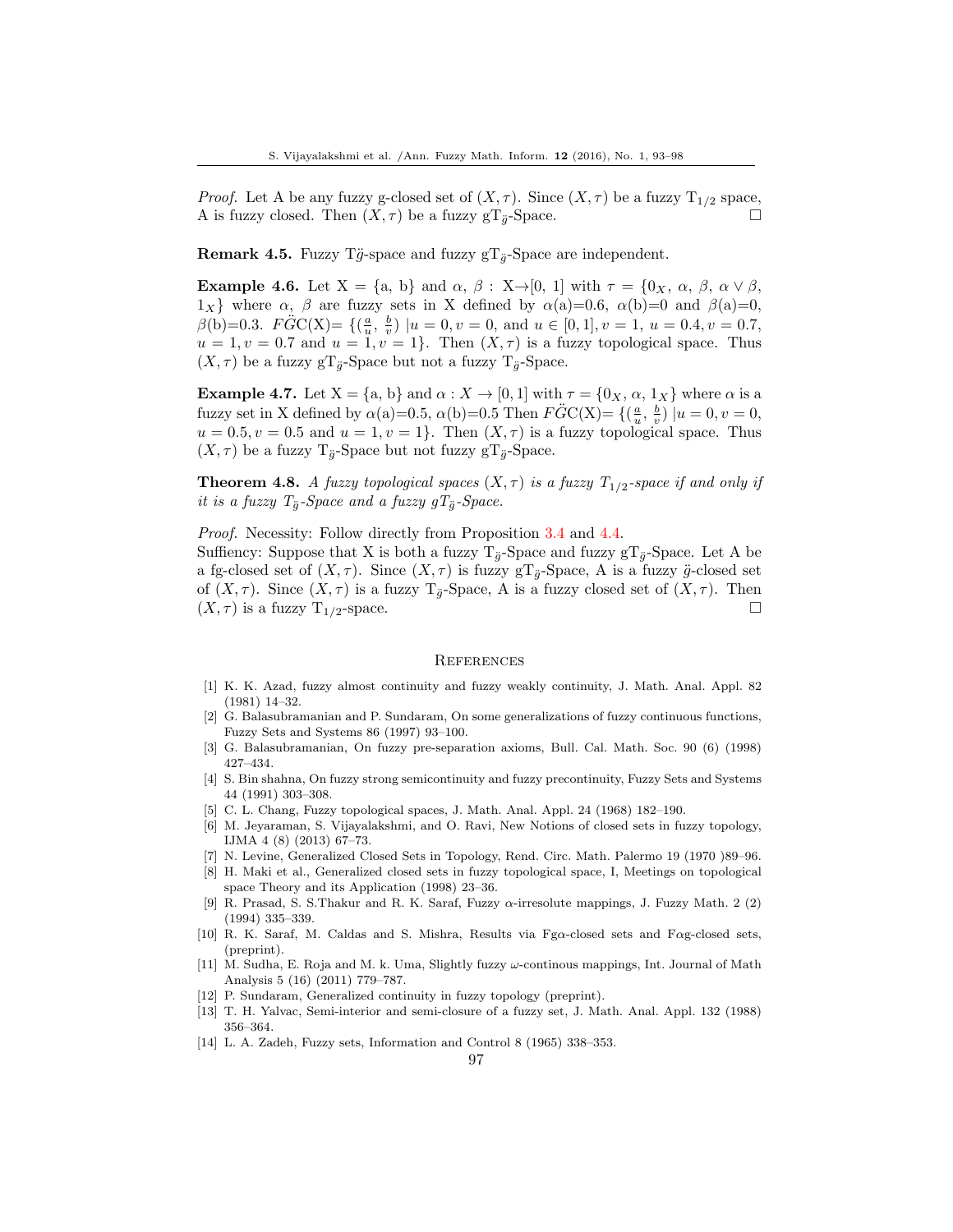*Proof.* Let A be any fuzzy g-closed set of  $(X, \tau)$ . Since  $(X, \tau)$  be a fuzzy  $T_{1/2}$  space, A is fuzzy closed. Then  $(X, \tau)$  be a fuzzy gT<sub> $\ddot{o}$ </sub>-Space.

**Remark 4.5.** Fuzzy Tg-space and fuzzy  $gT_{\ddot{q}}$ -Space are independent.

**Example 4.6.** Let  $X = \{a, b\}$  and  $\alpha, \beta : X \rightarrow [0, 1]$  with  $\tau = \{0_X, \alpha, \beta, \alpha \lor \beta, \alpha \lor \beta, \alpha \lor \beta, \alpha \lor \beta, \alpha \lor \beta, \alpha \lor \beta, \alpha \lor \beta, \alpha \lor \beta, \alpha \lor \beta, \alpha \lor \beta, \alpha \lor \beta, \alpha \lor \beta, \alpha \lor \beta, \alpha \lor \beta, \alpha \lor \beta, \alpha \lor \beta, \alpha \lor \beta, \alpha \lor \beta, \alpha \lor \beta, \alpha \lor \beta, \alpha \lor \beta, \$  $1_X$ } where  $\alpha$ ,  $\beta$  are fuzzy sets in X defined by  $\alpha$ (a)=0.6,  $\alpha$ (b)=0 and  $\beta$ (a)=0,  $\beta(b)=0.3.$   $\angle F\ddot{G}C(X)=\{(\frac{a}{u},\frac{b}{v}) | u=0, v=0, \text{ and } u\in [0,1], v=1, u=0.4, v=0.7, \frac{b}{v}=0.7, \frac{c}{v}=0.7, \frac{d}{v}=0.7, \frac{d}{v}=0.7, \frac{d}{v}=0.7, \frac{d}{v}=0.7, \frac{d}{v}=0.7, \frac{d}{v}=0.7, \frac{d}{v}=0.7, \frac{d}{v}=0.7, \frac{d}{v}=0.7, \frac{d}{v}=0.7, \frac{d}{v}=0.7,$  $u = 1, v = 0.7$  and  $u = 1, v = 1$ . Then  $(X, \tau)$  is a fuzzy topological space. Thus  $(X, \tau)$  be a fuzzy gT<sub> $\ddot{o}$ </sub>-Space but not a fuzzy T<sub> $\ddot{o}$ </sub>-Space.

**Example 4.7.** Let  $X = \{a, b\}$  and  $\alpha : X \to [0, 1]$  with  $\tau = \{0_X, \alpha, 1_X\}$  where  $\alpha$  is a fuzzy set in X defined by  $\alpha(a)=0.5$ ,  $\alpha(b)=0.5$  Then  $F\ddot{G}C(X)=\{(\frac{a}{u},\frac{b}{v})|u=0,v=0,$  $u = 0.5, v = 0.5$  and  $u = 1, v = 1$ . Then  $(X, \tau)$  is a fuzzy topological space. Thus  $(X, \tau)$  be a fuzzy  $T_{\ddot{g}}$ -Space but not fuzzy g $T_{\ddot{g}}$ -Space.

**Theorem 4.8.** A fuzzy topological spaces  $(X, \tau)$  is a fuzzy  $T_{1/2}$ -space if and only if it is a fuzzy  $T_{\ddot{g}}$ -Space and a fuzzy  $gT_{\ddot{g}}$ -Space.

Proof. Necessity: Follow directly from Proposition [3.4](#page-2-0) and [4.4.](#page-3-0)

Suffiency: Suppose that X is both a fuzzy  $T_{\ddot{q}}$ -Space and fuzzy  $T_{\ddot{q}}$ -Space. Let A be a fg-closed set of  $(X, \tau)$ . Since  $(X, \tau)$  is fuzzy gT<sub> $\ddot{q}$ </sub>-Space, A is a fuzzy  $\ddot{g}$ -closed set of  $(X, \tau)$ . Since  $(X, \tau)$  is a fuzzy  $T_{\ddot{g}}$ -Space, A is a fuzzy closed set of  $(X, \tau)$ . Then  $(X, \tau)$  is a fuzzy  $T_{1/2}$ -space.

#### **REFERENCES**

- <span id="page-4-6"></span>[1] K. K. Azad, fuzzy almost continuity and fuzzy weakly continuity, J. Math. Anal. Appl. 82 (1981) 14–32.
- <span id="page-4-1"></span>[2] G. Balasubramanian and P. Sundaram, On some generalizations of fuzzy continuous functions, Fuzzy Sets and Systems 86 (1997) 93–100.
- <span id="page-4-10"></span>[3] G. Balasubramanian, On fuzzy pre-separation axioms, Bull. Cal. Math. Soc. 90 (6) (1998) 427–434.
- <span id="page-4-7"></span>[4] S. Bin shahna, On fuzzy strong semicontinuity and fuzzy precontinuity, Fuzzy Sets and Systems 44 (1991) 303–308.
- <span id="page-4-5"></span>[5] C. L. Chang, Fuzzy topological spaces, J. Math. Anal. Appl. 24 (1968) 182–190.
- <span id="page-4-2"></span>[6] M. Jeyaraman, S. Vijayalakshmi, and O. Ravi, New Notions of closed sets in fuzzy topology, IJMA 4 (8) (2013) 67–73.
- <span id="page-4-0"></span>[7] N. Levine, Generalized Closed Sets in Topology, Rend. Circ. Math. Palermo 19 (1970 )89–96.
- <span id="page-4-11"></span>[8] H. Maki et al., Generalized closed sets in fuzzy topological space, I, Meetings on topological space Theory and its Application (1998) 23–36.
- <span id="page-4-9"></span>[9] R. Prasad, S. S. Thakur and R. K. Saraf, Fuzzy  $\alpha$ -irresolute mappings, J. Fuzzy Math. 2 (2) (1994) 335–339.
- <span id="page-4-12"></span>[10] R. K. Saraf, M. Caldas and S. Mishra, Results via Fgα-closed sets and Fαg-closed sets, (preprint).
- <span id="page-4-13"></span>[11] M. Sudha, E. Roja and M. k. Uma, Slightly fuzzy  $\omega$ -continous mappings, Int. Journal of Math Analysis 5 (16) (2011) 779–787.
- <span id="page-4-3"></span>[12] P. Sundaram, Generalized continuity in fuzzy topology (preprint).
- <span id="page-4-8"></span>[13] T. H. Yalvac, Semi-interior and semi-closure of a fuzzy set, J. Math. Anal. Appl. 132 (1988) 356–364.
- <span id="page-4-4"></span>[14] L. A. Zadeh, Fuzzy sets, Information and Control 8 (1965) 338–353.